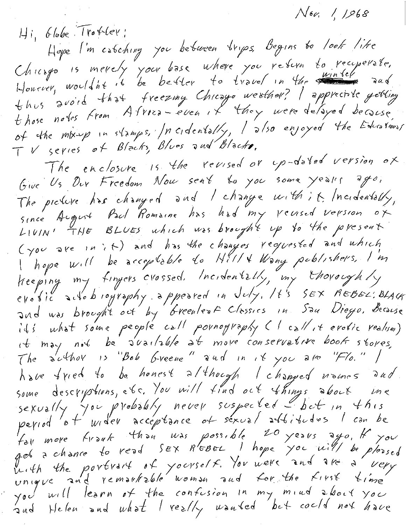$N$ 6 $\alpha$ , 1, 1,968

Hi, Globe Troffer: Hope I'm estching you between trips, Begins to look like Chicago is merely your base where you refer to recuperate. thus avoid that freezing Chicago weather? I appreciate getting<br>those notes from Alvica-even it they were delayed because, of the mix-up in stamps, Incidentally, I also enjoyed the Educationar TV series of Blacks, Blues and Blacks, The enclosure is the revised or up-dated version of Give Us Dur Freedom Nou sent to you some years ago, The picture has changed and I change with it Incidentally, since August Paul Romaine has had my reused version of LIVIN' THE BLUES which was brought up to the present (you are in it) and has the changes requested and which<br>I hope will be acceptable to Hill & Wong poblishers, I'm Keeping my finyers crossed. Incidentally, my thoroughly evobic actobiography appeared in July. It's SEX REBEL: BLACK and was brought out by breentest Classics in Sau Diego, Because ils what some people call pornography (I call it erotic realism) it may not be s'uailable at more conservative book stores, The suthor is "Bob Greene" and in it you are "Flo." / have fried to be honest although I changed names and some descriptions, etc. You will find out things about me sexually you probably never suspected but in this period ot wider acceptance of sexual abbitudes I can be For more front thou was possible 20 years ago, If you<br>got a chance to read SEX REBEL I hope you will be pleased<br>buth the portrait of yourself. You were and are a very<br>unique and remarkable woman and for the first time<br>you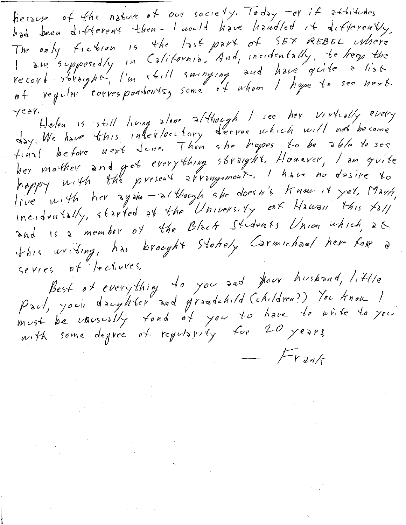because of the nature of our society. Today -or if attitudes had been different then- I nould have handled it differently, The only fiction is the last part of SEX REBEL where<br>I am supposedly in California. And, incidentally, to keep the record straight, I'm still surveying and have grite a list  $yeer.$ 

Helen is still living alone although I see her virtually every her mother and get everything straight. Houever, I am quite<br>happy with the present arrangement. I have no desire to live with her again - although she doesn't know it yet. Maut, incidentally, started at the University of Hauan this fall and is a member of the Black Students Union which, at this uriting, has brought Stoffely Carmichael here for a Sevies of lectures,

Best of everything to you and Hour husband, little<br>Paul, your daughter and grandchild (children?) You know I must be unusually fond of you to have to write to you  $F_{Yz}$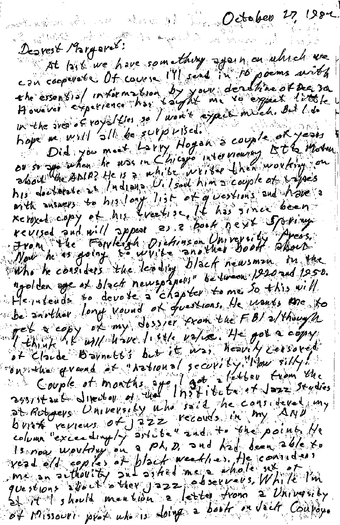di ke make wa wing miku kun

October 27, 1982

Desvest Margaret: At 1388 we have something again on which we con cooperate Of course Ms and in 10 poems with the essential information by your deathine of Dea 30 hope we will be supplied. or so Did you must have Hogon a couple of your live his declerate it Indiana U. Isaal him a couple at traffes with manys to his long list of givestime and hove a reloxed copy of his freelise, It has since been revised and will appeal as a book heart Spring.<br>How he as going to white and that Book begin the be another long vound of questions. He would are to MENTAL WILLOW Title value. He got a copy Couple et months appellation from the at Roboevs. University who said, he cansideved in burt reprens of 322 records in my AND column "exceedingly article" and to the point / Is now wouldry on a ph. D. and kal deen able to<br>yead old control at plack weekhed. He considers<br>me an actholity and asked me a whole sex of in.<br>questions would mention a letter from a University of Missouri prof when sloing a book on Jack Couroy.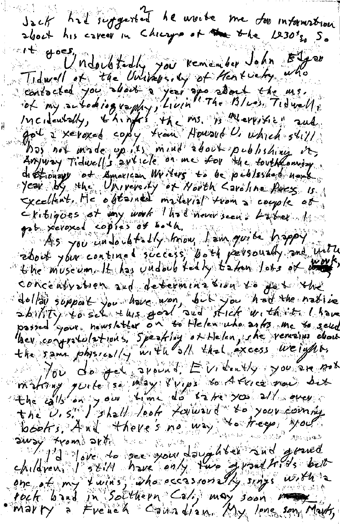Jack half supported he aroube me doo information the boes, neglectedly you kemember John Elger<br>Tidwell et the University of Hentweh who<br>ist my subdiography, Livin The Bluess Tidwell, Bos not made un 12 mind about publishing it distronage of American Writers to be published not Exitigees et my work liked neur seen. Labor de shout your contined soccess, both personally and with concentration and determination to get the dollar support you have won, but you had the native lber confratolations, Speaking of Helen, the vensions chouse Nou de jet avoirs. En tents you are not<br>the alls on your time do take you allowed but The U.S. I shall learn rolling to your community<br>away from active sine way the free would<br>children, see your daughter and growd<br>children, see your daughter and growd<br>one of my furned call may soon results Marry a French Countries My long son Marty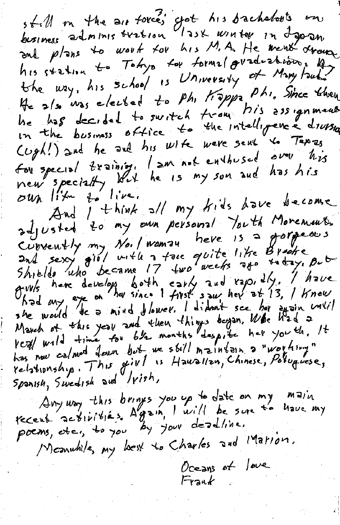still in the air force; yot his bachelovis on and plans to work for his M.A. He went drown the way, his school is University of Mary Faul He also was elected to Phi Kappa, Phi. Since they be has decided to suritch trong his assignments in the business office to the intelligence druism Cugh!) and he and his wife were sent to Tapas for special training. I am not enthused over his new specially what he is my son and has his And I think all my kids have become adjusted to my own personal Youth Moremeus. Curvently my No. I wannou here is a gorgeous<br>and sexy girl with a face quite like Brooke<br>Shields who became 17 two weeks are there, But gives here develops both early and rajo: Ily. I have<br>had my exe on her since I first sour her at 13, I knew March of this year and then things began. When had a has now calmed four but we still maintain a "worthing"  $s_{p}$ anish, Swedish aud Vish, Amy way this brings you up to date on my main poems, etc., to you by your deadline. Memutile, my best to Charles and Marion. Oceans of love

Frank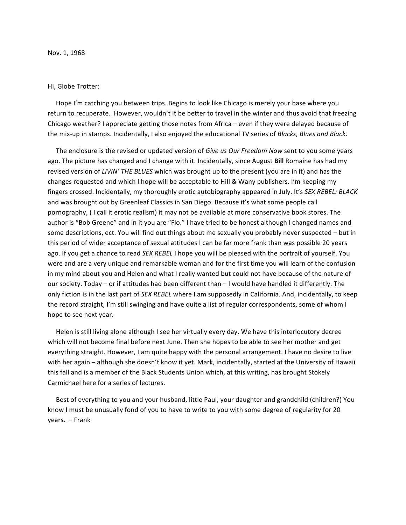## Hi, Globe Trotter:

Hope I'm catching you between trips. Begins to look like Chicago is merely your base where you return to recuperate. However, wouldn't it be better to travel in the winter and thus avoid that freezing Chicago weather? I appreciate getting those notes from Africa – even if they were delayed because of the mix-up in stamps. Incidentally, I also enjoyed the educational TV series of *Blacks, Blues and Black*.

The enclosure is the revised or updated version of Give us Our Freedom Now sent to you some years ago. The picture has changed and I change with it. Incidentally, since August **Bill** Romaine has had my revised version of *LIVIN'* THE BLUES which was brought up to the present (you are in it) and has the changes requested and which I hope will be acceptable to Hill & Wany publishers. I'm keeping my fingers crossed. Incidentally, my thoroughly erotic autobiography appeared in July. It's SEX REBEL: BLACK and was brought out by Greenleaf Classics in San Diego. Because it's what some people call pornography, (I call it erotic realism) it may not be available at more conservative book stores. The author is "Bob Greene" and in it you are "Flo." I have tried to be honest although I changed names and some descriptions, ect. You will find out things about me sexually you probably never suspected – but in this period of wider acceptance of sexual attitudes I can be far more frank than was possible 20 years ago. If you get a chance to read *SEX REBEL* I hope you will be pleased with the portrait of yourself. You were and are a very unique and remarkable woman and for the first time you will learn of the confusion in my mind about you and Helen and what I really wanted but could not have because of the nature of our society. Today – or if attitudes had been different than – I would have handled it differently. The only fiction is in the last part of *SEX REBEL* where I am supposedly in California. And, incidentally, to keep the record straight, I'm still swinging and have quite a list of regular correspondents, some of whom I hope to see next year.

Helen is still living alone although I see her virtually every day. We have this interlocutory decree which will not become final before next June. Then she hopes to be able to see her mother and get everything straight. However, I am quite happy with the personal arrangement. I have no desire to live with her again – although she doesn't know it yet. Mark, incidentally, started at the University of Hawaii this fall and is a member of the Black Students Union which, at this writing, has brought Stokely Carmichael here for a series of lectures.

Best of everything to you and your husband, little Paul, your daughter and grandchild (children?) You know I must be unusually fond of you to have to write to you with some degree of regularity for 20 years.  $-$  Frank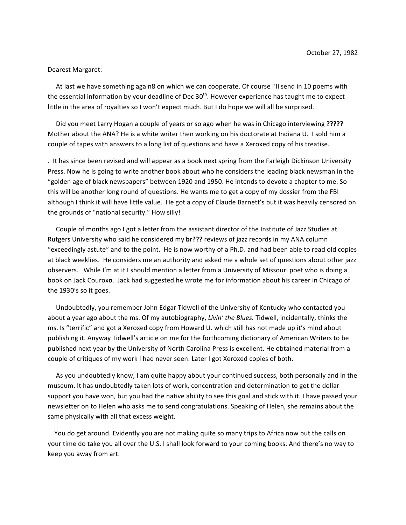## Dearest Margaret:

At last we have something again8 on which we can cooperate. Of course I'll send in 10 poems with the essential information by your deadline of Dec  $30<sup>th</sup>$ . However experience has taught me to expect little in the area of royalties so I won't expect much. But I do hope we will all be surprised.

Did you meet Larry Hogan a couple of years or so ago when he was in Chicago interviewing ????? Mother about the ANA? He is a white writer then working on his doctorate at Indiana U. I sold him a couple of tapes with answers to a long list of questions and have a Xeroxed copy of his treatise.

. It has since been revised and will appear as a book next spring from the Farleigh Dickinson University Press. Now he is going to write another book about who he considers the leading black newsman in the "golden age of black newspapers" between 1920 and 1950. He intends to devote a chapter to me. So this will be another long round of questions. He wants me to get a copy of my dossier from the FBI although I think it will have little value. He got a copy of Claude Barnett's but it was heavily censored on the grounds of "national security." How silly!

Couple of months ago I got a letter from the assistant director of the Institute of Jazz Studies at Rutgers University who said he considered my br??? reviews of jazz records in my ANA column "exceedingly astute" and to the point. He is now worthy of a Ph.D. and had been able to read old copies at black weeklies. He considers me an authority and asked me a whole set of questions about other jazz observers. While I'm at it I should mention a letter from a University of Missouri poet who is doing a book on Jack Couroxo. Jack had suggested he wrote me for information about his career in Chicago of the 1930's so it goes.

Undoubtedly, you remember John Edgar Tidwell of the University of Kentucky who contacted you about a year ago about the ms. Of my autobiography, *Livin' the Blues*. Tidwell, incidentally, thinks the ms. Is "terrific" and got a Xeroxed copy from Howard U. which still has not made up it's mind about publishing it. Anyway Tidwell's article on me for the forthcoming dictionary of American Writers to be published next year by the University of North Carolina Press is excellent. He obtained material from a couple of critiques of my work I had never seen. Later I got Xeroxed copies of both.

As you undoubtedly know, I am quite happy about your continued success, both personally and in the museum. It has undoubtedly taken lots of work, concentration and determination to get the dollar support you have won, but you had the native ability to see this goal and stick with it. I have passed your newsletter on to Helen who asks me to send congratulations. Speaking of Helen, she remains about the same physically with all that excess weight.

You do get around. Evidently you are not making quite so many trips to Africa now but the calls on your time do take you all over the U.S. I shall look forward to your coming books. And there's no way to keep you away from art.